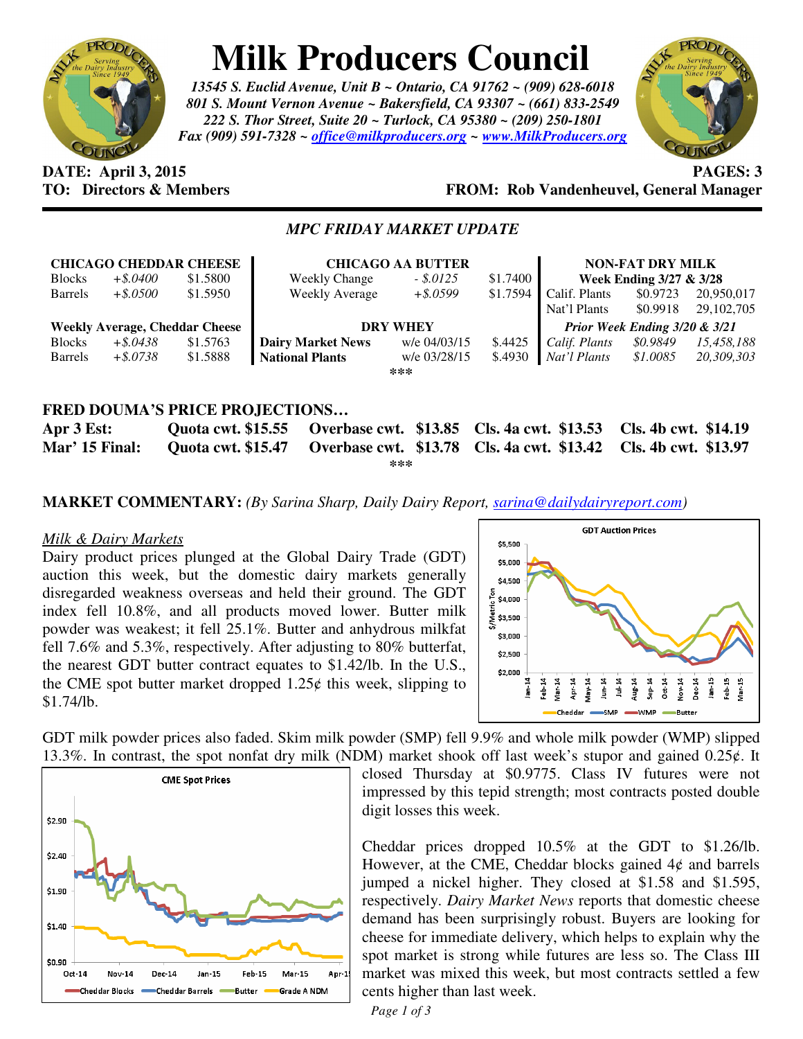

# **Milk Producers Council**

*13545 S. Euclid Avenue, Unit B ~ Ontario, CA 91762 ~ (909) 628-6018 801 S. Mount Vernon Avenue ~ Bakersfield, CA 93307 ~ (661) 833-2549 222 S. Thor Street, Suite 20 ~ Turlock, CA 95380 ~ (209) 250-1801 Fax (909) 591-7328 ~ office@milkproducers.org ~ www.MilkProducers.org*



#### **DATE: April 3, 2015 PAGES: 3 TO: Directors & Members FROM: Rob Vandenheuvel, General Manager**

#### *MPC FRIDAY MARKET UPDATE*

| <b>CHICAGO CHEDDAR CHEESE</b>         |             |          | <b>CHICAGO AA BUTTER</b>       |              |          | <b>NON-FAT DRY MILK</b>       |          |              |
|---------------------------------------|-------------|----------|--------------------------------|--------------|----------|-------------------------------|----------|--------------|
| <b>Blocks</b>                         | $+$ \$.0400 | \$1.5800 | <b>Weekly Change</b>           | $-.5.0125$   | \$1.7400 | Week Ending 3/27 & 3/28       |          |              |
| <b>Barrels</b>                        | $+$ \$.0500 | \$1.5950 | Weekly Average                 | $+$ \$.0599  | \$1.7594 | Calif. Plants                 | \$0.9723 | 20,950,017   |
|                                       |             |          |                                |              |          | Nat'l Plants                  | \$0.9918 | 29, 102, 705 |
| <b>Weekly Average, Cheddar Cheese</b> |             |          | <b>DRY WHEY</b>                |              |          | Prior Week Ending 3/20 & 3/21 |          |              |
| <b>Blocks</b>                         | $+$ \$.0438 | \$1.5763 | <b>Dairy Market News</b>       | w/e 04/03/15 | \$.4425  | Calif. Plants                 | \$0.9849 | 15,458,188   |
| <b>Barrels</b>                        | $+$ \$.0738 | \$1.5888 | <b>National Plants</b>         | w/e 03/28/15 | \$.4930  | Nat'l Plants                  | \$1.0085 | 20,309,303   |
|                                       |             |          |                                | ***          |          |                               |          |              |
|                                       |             |          |                                |              |          |                               |          |              |
|                                       |             |          | FRED DOUMA'S PRICE PROJECTIONS |              |          |                               |          |              |

**Apr 3 Est: Quota cwt. \$15.55 Overbase cwt. \$13.85 Cls. 4a cwt. \$13.53 Cls. 4b cwt. \$14.19 Mar' 15 Final: Quota cwt. \$15.47 Overbase cwt. \$13.78 Cls. 4a cwt. \$13.42 Cls. 4b cwt. \$13.97 \*\*\*** 

**MARKET COMMENTARY:** *(By Sarina Sharp, Daily Dairy Report, sarina@dailydairyreport.com)* 

#### *Milk & Dairy Markets*

Dairy product prices plunged at the Global Dairy Trade (GDT) auction this week, but the domestic dairy markets generally disregarded weakness overseas and held their ground. The GDT index fell 10.8%, and all products moved lower. Butter milk powder was weakest; it fell 25.1%. Butter and anhydrous milkfat fell 7.6% and 5.3%, respectively. After adjusting to 80% butterfat, the nearest GDT butter contract equates to \$1.42/lb. In the U.S., the CME spot butter market dropped  $1.25¢$  this week, slipping to \$1.74/lb.



GDT milk powder prices also faded. Skim milk powder (SMP) fell 9.9% and whole milk powder (WMP) slipped 13.3%. In contrast, the spot nonfat dry milk (NDM) market shook off last week's stupor and gained  $0.25\ell$ . It



closed Thursday at \$0.9775. Class IV futures were not impressed by this tepid strength; most contracts posted double digit losses this week.

Cheddar prices dropped 10.5% at the GDT to \$1.26/lb. However, at the CME, Cheddar blocks gained  $4¢$  and barrels jumped a nickel higher. They closed at \$1.58 and \$1.595, respectively. *Dairy Market News* reports that domestic cheese demand has been surprisingly robust. Buyers are looking for cheese for immediate delivery, which helps to explain why the spot market is strong while futures are less so. The Class III market was mixed this week, but most contracts settled a few cents higher than last week.

*Page 1 of 3*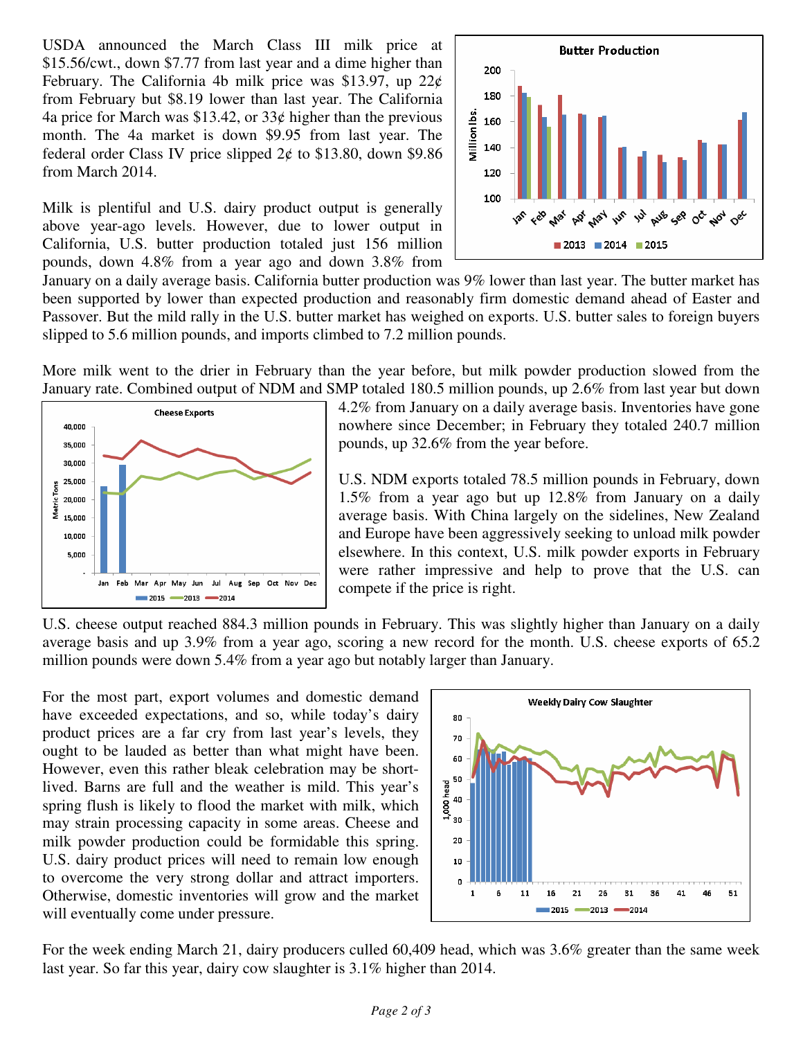USDA announced the March Class III milk price at \$15.56/cwt., down \$7.77 from last year and a dime higher than February. The California 4b milk price was \$13.97, up  $22¢$ from February but \$8.19 lower than last year. The California 4a price for March was \$13.42, or  $33¢$  higher than the previous month. The 4a market is down \$9.95 from last year. The federal order Class IV price slipped  $2¢$  to \$13.80, down \$9.86 from March 2014.

Milk is plentiful and U.S. dairy product output is generally above year-ago levels. However, due to lower output in California, U.S. butter production totaled just 156 million pounds, down 4.8% from a year ago and down 3.8% from



January on a daily average basis. California butter production was 9% lower than last year. The butter market has been supported by lower than expected production and reasonably firm domestic demand ahead of Easter and Passover. But the mild rally in the U.S. butter market has weighed on exports. U.S. butter sales to foreign buyers slipped to 5.6 million pounds, and imports climbed to 7.2 million pounds.

More milk went to the drier in February than the year before, but milk powder production slowed from the January rate. Combined output of NDM and SMP totaled 180.5 million pounds, up 2.6% from last year but down



4.2% from January on a daily average basis. Inventories have gone nowhere since December; in February they totaled 240.7 million pounds, up 32.6% from the year before.

U.S. NDM exports totaled 78.5 million pounds in February, down 1.5% from a year ago but up 12.8% from January on a daily average basis. With China largely on the sidelines, New Zealand and Europe have been aggressively seeking to unload milk powder elsewhere. In this context, U.S. milk powder exports in February were rather impressive and help to prove that the U.S. can compete if the price is right.

U.S. cheese output reached 884.3 million pounds in February. This was slightly higher than January on a daily average basis and up 3.9% from a year ago, scoring a new record for the month. U.S. cheese exports of 65.2 million pounds were down 5.4% from a year ago but notably larger than January.

For the most part, export volumes and domestic demand have exceeded expectations, and so, while today's dairy product prices are a far cry from last year's levels, they ought to be lauded as better than what might have been. However, even this rather bleak celebration may be shortlived. Barns are full and the weather is mild. This year's spring flush is likely to flood the market with milk, which may strain processing capacity in some areas. Cheese and milk powder production could be formidable this spring. U.S. dairy product prices will need to remain low enough to overcome the very strong dollar and attract importers. Otherwise, domestic inventories will grow and the market will eventually come under pressure.



For the week ending March 21, dairy producers culled 60,409 head, which was 3.6% greater than the same week last year. So far this year, dairy cow slaughter is 3.1% higher than 2014.